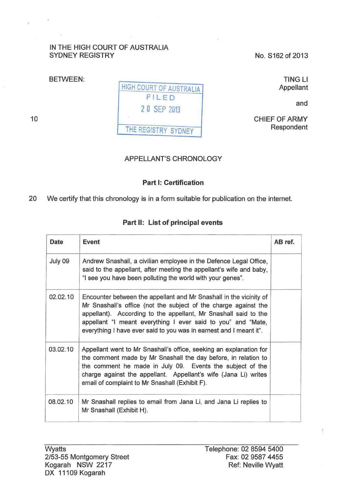## IN THE HIGH COURT OF AUSTRALIA SYDNEY REGISTRY

No. S162 of 2013

BETWEEN: HIGH COURT OF AUSTRALIA FILED 2 0 SEP 2013 TING Ll Appellant and CHIEF OF ARMY Respondent

APPELLANT'S CHRONOLOGY

## Part 1: Certification

20 We certify that this chronology is in a form suitable for publication on the internet.

## Part II: List of principal events

| Date     | Event                                                                                                                                                                                                                                                                                                                                          | AB ref. |
|----------|------------------------------------------------------------------------------------------------------------------------------------------------------------------------------------------------------------------------------------------------------------------------------------------------------------------------------------------------|---------|
| July 09  | Andrew Snashall, a civilian employee in the Defence Legal Office,<br>said to the appellant, after meeting the appellant's wife and baby,<br>"I see you have been polluting the world with your genes".                                                                                                                                         |         |
| 02.02.10 | Encounter between the appellant and Mr Snashall in the vicinity of<br>Mr Snashall's office (not the subject of the charge against the<br>appellant). According to the appellant, Mr Snashall said to the<br>appellant "I meant everything I ever said to you" and "Mate,<br>everything I have ever said to you was in earnest and I meant it". |         |
| 03.02.10 | Appellant went to Mr Snashall's office, seeking an explanation for<br>the comment made by Mr Snashall the day before, in relation to<br>the comment he made in July 09. Events the subject of the<br>charge against the appellant. Appellant's wife (Jana Li) writes<br>email of complaint to Mr Snashall (Exhibit F).                         |         |
| 08.02.10 | Mr Snashall replies to email from Jana Li, and Jana Li replies to<br>Mr Snashall (Exhibit H).                                                                                                                                                                                                                                                  |         |

 $\frac{3}{4}$ 

10

THE REGISTRY SYDNEY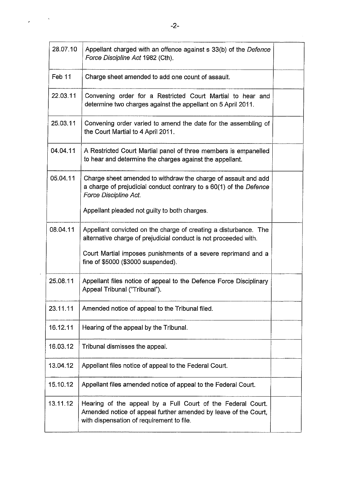| 28.07.10 | Appellant charged with an offence against s 33(b) of the Defence<br>Force Discipline Act 1982 (Cth).                                                                        |  |
|----------|-----------------------------------------------------------------------------------------------------------------------------------------------------------------------------|--|
| Feb 11   | Charge sheet amended to add one count of assault.                                                                                                                           |  |
| 22.03.11 | Convening order for a Restricted Court Martial to hear and<br>determine two charges against the appellant on 5 April 2011.                                                  |  |
| 25.03.11 | Convening order varied to amend the date for the assembling of<br>the Court Martial to 4 April 2011.                                                                        |  |
| 04.04.11 | A Restricted Court Martial panel of three members is empanelled<br>to hear and determine the charges against the appellant.                                                 |  |
| 05.04.11 | Charge sheet amended to withdraw the charge of assault and add<br>a charge of prejudicial conduct contrary to s 60(1) of the Defence<br>Force Discipline Act.               |  |
|          | Appellant pleaded not guilty to both charges.                                                                                                                               |  |
| 08.04.11 | Appellant convicted on the charge of creating a disturbance. The<br>alternative charge of prejudicial conduct is not proceeded with.                                        |  |
|          | Court Martial imposes punishments of a severe reprimand and a<br>fine of \$5000 (\$3000 suspended).                                                                         |  |
| 25.08.11 | Appellant files notice of appeal to the Defence Force Disciplinary<br>Appeal Tribunal ("Tribunal").                                                                         |  |
| 23.11.11 | Amended notice of appeal to the Tribunal filed.                                                                                                                             |  |
| 16.12.11 | Hearing of the appeal by the Tribunal.                                                                                                                                      |  |
| 16.03.12 | Tribunal dismisses the appeal.                                                                                                                                              |  |
| 13.04.12 | Appellant files notice of appeal to the Federal Court.                                                                                                                      |  |
| 15.10.12 | Appellant files amended notice of appeal to the Federal Court.                                                                                                              |  |
| 13.11.12 | Hearing of the appeal by a Full Court of the Federal Court.<br>Amended notice of appeal further amended by leave of the Court,<br>with dispensation of requirement to file. |  |

 $\ddot{\phantom{a}}$ 

 $\ddot{\phantom{a}}$ 

 $\overline{a}$